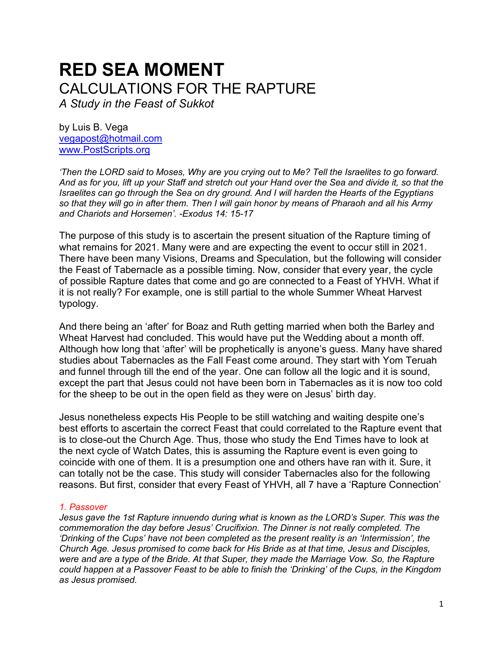# **RED SEA MOMENT** CALCULATIONS FOR THE RAPTURE

*A Study in the Feast of Sukkot*

by Luis B. Vega [vegapost@hotmail.com](mailto:vegapost@hotmail.com) [www.PostScripts.org](http://www.postscripts.org/)

*'Then the LORD said to Moses, Why are you crying out to Me? Tell the Israelites to go forward. And as for you, lift up your Staff and stretch out your Hand over the Sea and divide it, so that the Israelites can go through the Sea on dry ground. And I will harden the Hearts of the Egyptians so that they will go in after them. Then I will gain honor by means of Pharaoh and all his Army and Chariots and Horsemen'. -Exodus 14: 15-17*

The purpose of this study is to ascertain the present situation of the Rapture timing of what remains for 2021. Many were and are expecting the event to occur still in 2021. There have been many Visions, Dreams and Speculation, but the following will consider the Feast of Tabernacle as a possible timing. Now, consider that every year, the cycle of possible Rapture dates that come and go are connected to a Feast of YHVH. What if it is not really? For example, one is still partial to the whole Summer Wheat Harvest typology.

And there being an 'after' for Boaz and Ruth getting married when both the Barley and Wheat Harvest had concluded. This would have put the Wedding about a month off. Although how long that 'after' will be prophetically is anyone's guess. Many have shared studies about Tabernacles as the Fall Feast come around. They start with Yom Teruah and funnel through till the end of the year. One can follow all the logic and it is sound, except the part that Jesus could not have been born in Tabernacles as it is now too cold for the sheep to be out in the open field as they were on Jesus' birth day.

Jesus nonetheless expects His People to be still watching and waiting despite one's best efforts to ascertain the correct Feast that could correlated to the Rapture event that is to close-out the Church Age. Thus, those who study the End Times have to look at the next cycle of Watch Dates, this is assuming the Rapture event is even going to coincide with one of them. It is a presumption one and others have ran with it. Sure, it can totally not be the case. This study will consider Tabernacles also for the following reasons. But first, consider that every Feast of YHVH, all 7 have a 'Rapture Connection'

## *1. Passover*

*Jesus gave the 1st Rapture innuendo during what is known as the LORD's Super. This was the commemoration the day before Jesus' Crucifixion. The Dinner is not really completed. The 'Drinking of the Cups' have not been completed as the present reality is an 'Intermission', the Church Age. Jesus promised to come back for His Bride as at that time, Jesus and Disciples, were and are a type of the Bride. At that Super, they made the Marriage Vow. So, the Rapture could happen at a Passover Feast to be able to finish the 'Drinking' of the Cups, in the Kingdom as Jesus promised.*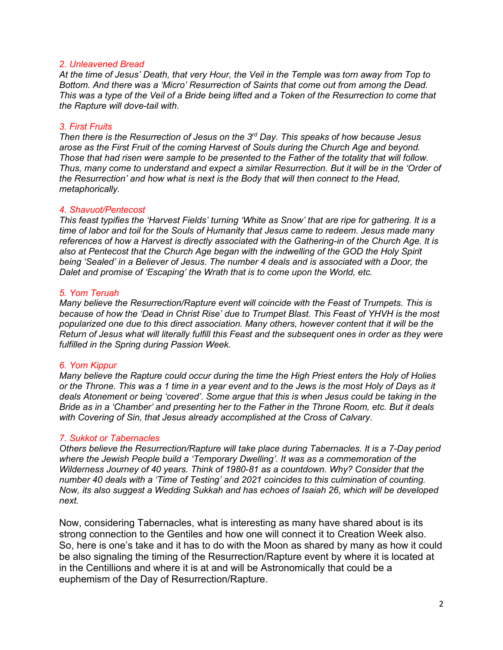#### *2. Unleavened Bread*

*At the time of Jesus' Death, that very Hour, the Veil in the Temple was torn away from Top to Bottom. And there was a 'Micro' Resurrection of Saints that come out from among the Dead. This was a type of the Veil of a Bride being lifted and a Token of the Resurrection to come that the Rapture will dove-tail with.*

## *3. First Fruits*

*Then there is the Resurrection of Jesus on the 3rd Day. This speaks of how because Jesus arose as the First Fruit of the coming Harvest of Souls during the Church Age and beyond. Those that had risen were sample to be presented to the Father of the totality that will follow. Thus, many come to understand and expect a similar Resurrection. But it will be in the 'Order of the Resurrection' and how what is next is the Body that will then connect to the Head, metaphorically.*

#### *4. Shavuot/Pentecost*

*This feast typifies the 'Harvest Fields' turning 'White as Snow' that are ripe for gathering. It is a time of labor and toil for the Souls of Humanity that Jesus came to redeem. Jesus made many references of how a Harvest is directly associated with the Gathering-in of the Church Age. It is also at Pentecost that the Church Age began with the indwelling of the GOD the Holy Spirit being 'Sealed' in a Believer of Jesus. The number 4 deals and is associated with a Door, the Dalet and promise of 'Escaping' the Wrath that is to come upon the World, etc.* 

### *5. Yom Teruah*

*Many believe the Resurrection/Rapture event will coincide with the Feast of Trumpets. This is because of how the 'Dead in Christ Rise' due to Trumpet Blast. This Feast of YHVH is the most popularized one due to this direct association. Many others, however content that it will be the Return of Jesus what will literally fulfill this Feast and the subsequent ones in order as they were fulfilled in the Spring during Passion Week.*

## *6. Yom Kippur*

*Many believe the Rapture could occur during the time the High Priest enters the Holy of Holies or the Throne. This was a 1 time in a year event and to the Jews is the most Holy of Days as it deals Atonement or being 'covered'. Some argue that this is when Jesus could be taking in the Bride as in a 'Chamber' and presenting her to the Father in the Throne Room, etc. But it deals with Covering of Sin, that Jesus already accomplished at the Cross of Calvary.*

## *7. Sukkot or Tabernacles*

*Others believe the Resurrection/Rapture will take place during Tabernacles. It is a 7-Day period where the Jewish People build a 'Temporary Dwelling'. It was as a commemoration of the Wilderness Journey of 40 years. Think of 1980-81 as a countdown. Why? Consider that the number 40 deals with a 'Time of Testing' and 2021 coincides to this culmination of counting. Now, its also suggest a Wedding Sukkah and has echoes of Isaiah 26, which will be developed next.* 

Now, considering Tabernacles, what is interesting as many have shared about is its strong connection to the Gentiles and how one will connect it to Creation Week also. So, here is one's take and it has to do with the Moon as shared by many as how it could be also signaling the timing of the Resurrection/Rapture event by where it is located at in the Centillions and where it is at and will be Astronomically that could be a euphemism of the Day of Resurrection/Rapture.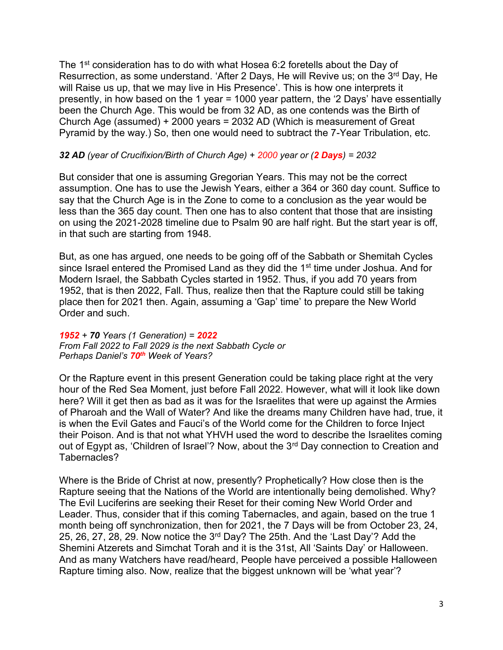The 1<sup>st</sup> consideration has to do with what Hosea 6:2 foretells about the Day of Resurrection, as some understand. 'After 2 Days, He will Revive us; on the  $3<sup>rd</sup>$  Day, He will Raise us up, that we may live in His Presence'. This is how one interprets it presently, in how based on the 1 year = 1000 year pattern, the '2 Days' have essentially been the Church Age. This would be from 32 AD, as one contends was the Birth of Church Age (assumed) + 2000 years = 2032 AD (Which is measurement of Great Pyramid by the way.) So, then one would need to subtract the 7-Year Tribulation, etc.

## *32 AD (year of Crucifixion/Birth of Church Age) + 2000 year or (2 Days) = 2032*

But consider that one is assuming Gregorian Years. This may not be the correct assumption. One has to use the Jewish Years, either a 364 or 360 day count. Suffice to say that the Church Age is in the Zone to come to a conclusion as the year would be less than the 365 day count. Then one has to also content that those that are insisting on using the 2021-2028 timeline due to Psalm 90 are half right. But the start year is off, in that such are starting from 1948.

But, as one has argued, one needs to be going off of the Sabbath or Shemitah Cycles since Israel entered the Promised Land as they did the 1<sup>st</sup> time under Joshua. And for Modern Israel, the Sabbath Cycles started in 1952. Thus, if you add 70 years from 1952, that is then 2022, Fall. Thus, realize then that the Rapture could still be taking place then for 2021 then. Again, assuming a 'Gap' time' to prepare the New World Order and such.

## *1952 + 70 Years (1 Generation) = 2022 From Fall 2022 to Fall 2029 is the next Sabbath Cycle or Perhaps Daniel's 70th Week of Years?*

Or the Rapture event in this present Generation could be taking place right at the very hour of the Red Sea Moment, just before Fall 2022. However, what will it look like down here? Will it get then as bad as it was for the Israelites that were up against the Armies of Pharoah and the Wall of Water? And like the dreams many Children have had, true, it is when the Evil Gates and Fauci's of the World come for the Children to force Inject their Poison. And is that not what YHVH used the word to describe the Israelites coming out of Egypt as, 'Children of Israel'? Now, about the 3<sup>rd</sup> Day connection to Creation and Tabernacles?

Where is the Bride of Christ at now, presently? Prophetically? How close then is the Rapture seeing that the Nations of the World are intentionally being demolished. Why? The Evil Luciferins are seeking their Reset for their coming New World Order and Leader. Thus, consider that if this coming Tabernacles, and again, based on the true 1 month being off synchronization, then for 2021, the 7 Days will be from October 23, 24, 25, 26, 27, 28, 29. Now notice the 3rd Day? The 25th. And the 'Last Day'? Add the Shemini Atzerets and Simchat Torah and it is the 31st, All 'Saints Day' or Halloween. And as many Watchers have read/heard, People have perceived a possible Halloween Rapture timing also. Now, realize that the biggest unknown will be 'what year'?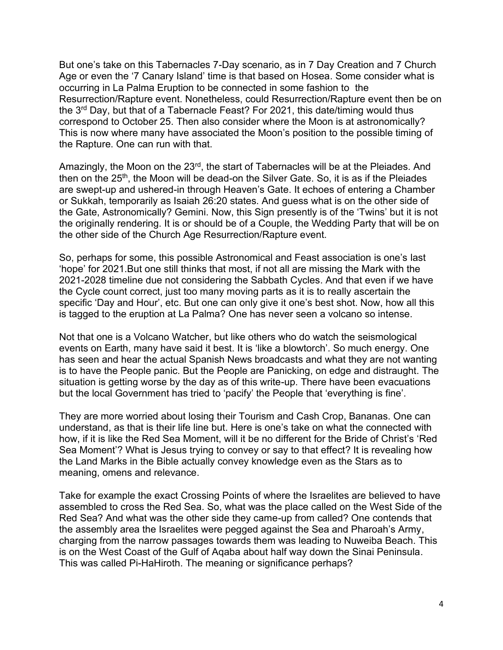But one's take on this Tabernacles 7-Day scenario, as in 7 Day Creation and 7 Church Age or even the '7 Canary Island' time is that based on Hosea. Some consider what is occurring in La Palma Eruption to be connected in some fashion to the Resurrection/Rapture event. Nonetheless, could Resurrection/Rapture event then be on the 3rd Day, but that of a Tabernacle Feast? For 2021, this date/timing would thus correspond to October 25. Then also consider where the Moon is at astronomically? This is now where many have associated the Moon's position to the possible timing of the Rapture. One can run with that.

Amazingly, the Moon on the 23<sup>rd</sup>, the start of Tabernacles will be at the Pleiades. And then on the 25<sup>th</sup>, the Moon will be dead-on the Silver Gate. So, it is as if the Pleiades are swept-up and ushered-in through Heaven's Gate. It echoes of entering a Chamber or Sukkah, temporarily as Isaiah 26:20 states. And guess what is on the other side of the Gate, Astronomically? Gemini. Now, this Sign presently is of the 'Twins' but it is not the originally rendering. It is or should be of a Couple, the Wedding Party that will be on the other side of the Church Age Resurrection/Rapture event.

So, perhaps for some, this possible Astronomical and Feast association is one's last 'hope' for 2021.But one still thinks that most, if not all are missing the Mark with the 2021-2028 timeline due not considering the Sabbath Cycles. And that even if we have the Cycle count correct, just too many moving parts as it is to really ascertain the specific 'Day and Hour', etc. But one can only give it one's best shot. Now, how all this is tagged to the eruption at La Palma? One has never seen a volcano so intense.

Not that one is a Volcano Watcher, but like others who do watch the seismological events on Earth, many have said it best. It is 'like a blowtorch'. So much energy. One has seen and hear the actual Spanish News broadcasts and what they are not wanting is to have the People panic. But the People are Panicking, on edge and distraught. The situation is getting worse by the day as of this write-up. There have been evacuations but the local Government has tried to 'pacify' the People that 'everything is fine'.

They are more worried about losing their Tourism and Cash Crop, Bananas. One can understand, as that is their life line but. Here is one's take on what the connected with how, if it is like the Red Sea Moment, will it be no different for the Bride of Christ's 'Red Sea Moment'? What is Jesus trying to convey or say to that effect? It is revealing how the Land Marks in the Bible actually convey knowledge even as the Stars as to meaning, omens and relevance.

Take for example the exact Crossing Points of where the Israelites are believed to have assembled to cross the Red Sea. So, what was the place called on the West Side of the Red Sea? And what was the other side they came-up from called? One contends that the assembly area the Israelites were pegged against the Sea and Pharoah's Army, charging from the narrow passages towards them was leading to Nuweiba Beach. This is on the West Coast of the Gulf of Aqaba about half way down the Sinai Peninsula. This was called Pi-HaHiroth. The meaning or significance perhaps?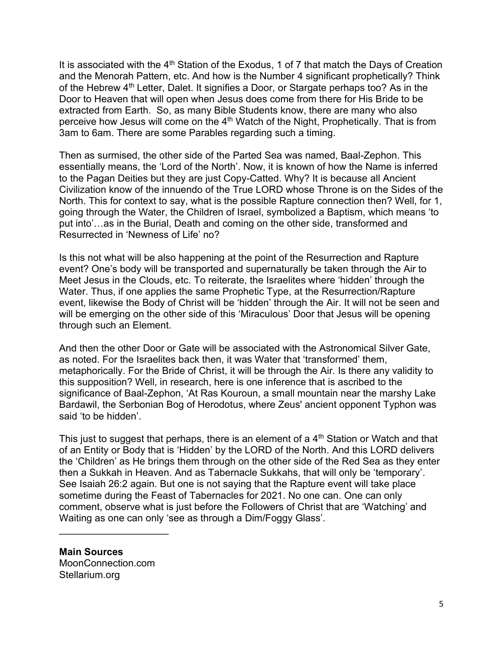It is associated with the 4<sup>th</sup> Station of the Exodus, 1 of 7 that match the Days of Creation and the Menorah Pattern, etc. And how is the Number 4 significant prophetically? Think of the Hebrew  $4<sup>th</sup>$  Letter, Dalet. It signifies a Door, or Stargate perhaps too? As in the Door to Heaven that will open when Jesus does come from there for His Bride to be extracted from Earth. So, as many Bible Students know, there are many who also perceive how Jesus will come on the 4<sup>th</sup> Watch of the Night, Prophetically. That is from 3am to 6am. There are some Parables regarding such a timing.

Then as surmised, the other side of the Parted Sea was named, Baal-Zephon. This essentially means, the 'Lord of the North'. Now, it is known of how the Name is inferred to the Pagan Deities but they are just Copy-Catted. Why? It is because all Ancient Civilization know of the innuendo of the True LORD whose Throne is on the Sides of the North. This for context to say, what is the possible Rapture connection then? Well, for 1, going through the Water, the Children of Israel, symbolized a Baptism, which means 'to put into'…as in the Burial, Death and coming on the other side, transformed and Resurrected in 'Newness of Life' no?

Is this not what will be also happening at the point of the Resurrection and Rapture event? One's body will be transported and supernaturally be taken through the Air to Meet Jesus in the Clouds, etc. To reiterate, the Israelites where 'hidden' through the Water. Thus, if one applies the same Prophetic Type, at the Resurrection/Rapture event, likewise the Body of Christ will be 'hidden' through the Air. It will not be seen and will be emerging on the other side of this 'Miraculous' Door that Jesus will be opening through such an Element.

And then the other Door or Gate will be associated with the Astronomical Silver Gate, as noted. For the Israelites back then, it was Water that 'transformed' them, metaphorically. For the Bride of Christ, it will be through the Air. Is there any validity to this supposition? Well, in research, here is one inference that is ascribed to the significance of Baal-Zephon, 'At Ras Kouroun, a small mountain near the marshy Lake Bardawil, the Serbonian Bog of Herodotus, where Zeus' ancient opponent Typhon was said 'to be hidden'.

This just to suggest that perhaps, there is an element of a  $4<sup>th</sup>$  Station or Watch and that of an Entity or Body that is 'Hidden' by the LORD of the North. And this LORD delivers the 'Children' as He brings them through on the other side of the Red Sea as they enter then a Sukkah in Heaven. And as Tabernacle Sukkahs, that will only be 'temporary'. See Isaiah 26:2 again. But one is not saying that the Rapture event will take place sometime during the Feast of Tabernacles for 2021. No one can. One can only comment, observe what is just before the Followers of Christ that are 'Watching' and Waiting as one can only 'see as through a Dim/Foggy Glass'.

**Main Sources**

MoonConnection.com Stellarium.org

 $\overline{\phantom{a}}$  , where  $\overline{\phantom{a}}$  , where  $\overline{\phantom{a}}$